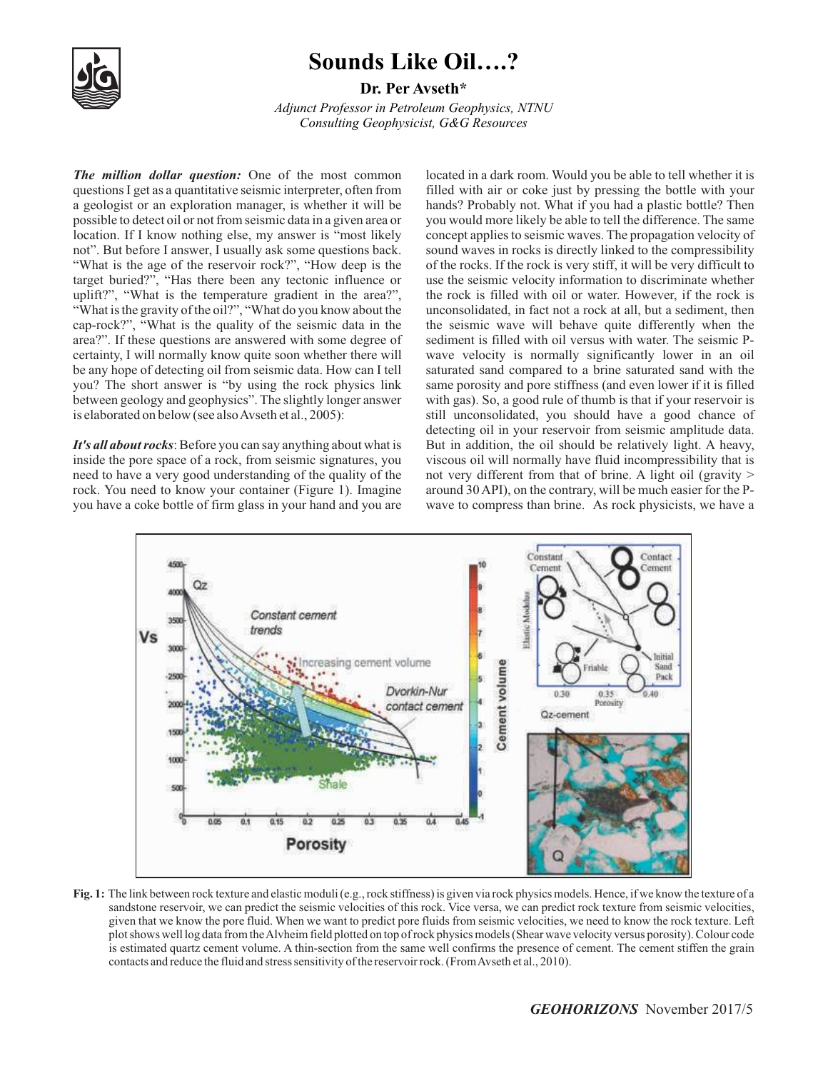

## **Sounds Like Oil….?**

**Dr. Per Avseth \***

*Adjunct Professor in Petroleum Geophysics, NTNU Consulting Geophysicist, G&G Resources*

*The million dollar question:* One of the most common questions I get as a quantitative seismic interpreter, often from a geologist or an exploration manager, is whether it will be possible to detect oil or not from seismic data in a given area or location. If I know nothing else, my answer is "most likely not". But before I answer, I usually ask some questions back. "What is the age of the reservoir rock?", "How deep is the target buried?", "Has there been any tectonic influence or uplift?", "What is the temperature gradient in the area?", "What is the gravity of the oil?", "What do you know about the cap-rock?", "What is the quality of the seismic data in the area?". If these questions are answered with some degree of certainty, I will normally know quite soon whether there will be any hope of detecting oil from seismic data. How can I tell you? The short answer is "by using the rock physics link between geology and geophysics". The slightly longer answer is elaborated on below (see also Avseth et al., 2005):

*It's all about rocks*: Before you can say anything about what is inside the pore space of a rock, from seismic signatures, you need to have a very good understanding of the quality of the rock. You need to know your container (Figure 1). Imagine you have a coke bottle of firm glass in your hand and you are located in a dark room. Would you be able to tell whether it is filled with air or coke just by pressing the bottle with your hands? Probably not. What if you had a plastic bottle? Then you would more likely be able to tell the difference. The same concept applies to seismic waves. The propagation velocity of sound waves in rocks is directly linked to the compressibility of the rocks. If the rock is very stiff, it will be very difficult to use the seismic velocity information to discriminate whether the rock is filled with oil or water. However, if the rock is unconsolidated, in fact not a rock at all, but a sediment, then the seismic wave will behave quite differently when the sediment is filled with oil versus with water. The seismic Pwave velocity is normally significantly lower in an oil saturated sand compared to a brine saturated sand with the same porosity and pore stiffness (and even lower if it is filled with gas). So, a good rule of thumb is that if your reservoir is still unconsolidated, you should have a good chance of detecting oil in your reservoir from seismic amplitude data. But in addition, the oil should be relatively light. A heavy, viscous oil will normally have fluid incompressibility that is not very different from that of brine. A light oil (gravity > around 30 API), on the contrary, will be much easier for the Pwave to compress than brine. As rock physicists, we have a



**Fig. 1:** The link between rock texture and elastic moduli (e.g., rock stiffness) is given via rock physics models. Hence, if we know the texture of a sandstone reservoir, we can predict the seismic velocities of this rock. Vice versa, we can predict rock texture from seismic velocities, given that we know the pore fluid. When we want to predict pore fluids from seismic velocities, we need to know the rock texture. Left plot shows well log data from the Alvheim field plotted on top of rock physics models (Shear wave velocity versus porosity). Colour code is estimated quartz cement volume. A thin-section from the same well confirms the presence of cement. The cement stiffen the grain contacts and reduce the fluid and stress sensitivity of the reservoir rock. (From Avseth et al., 2010).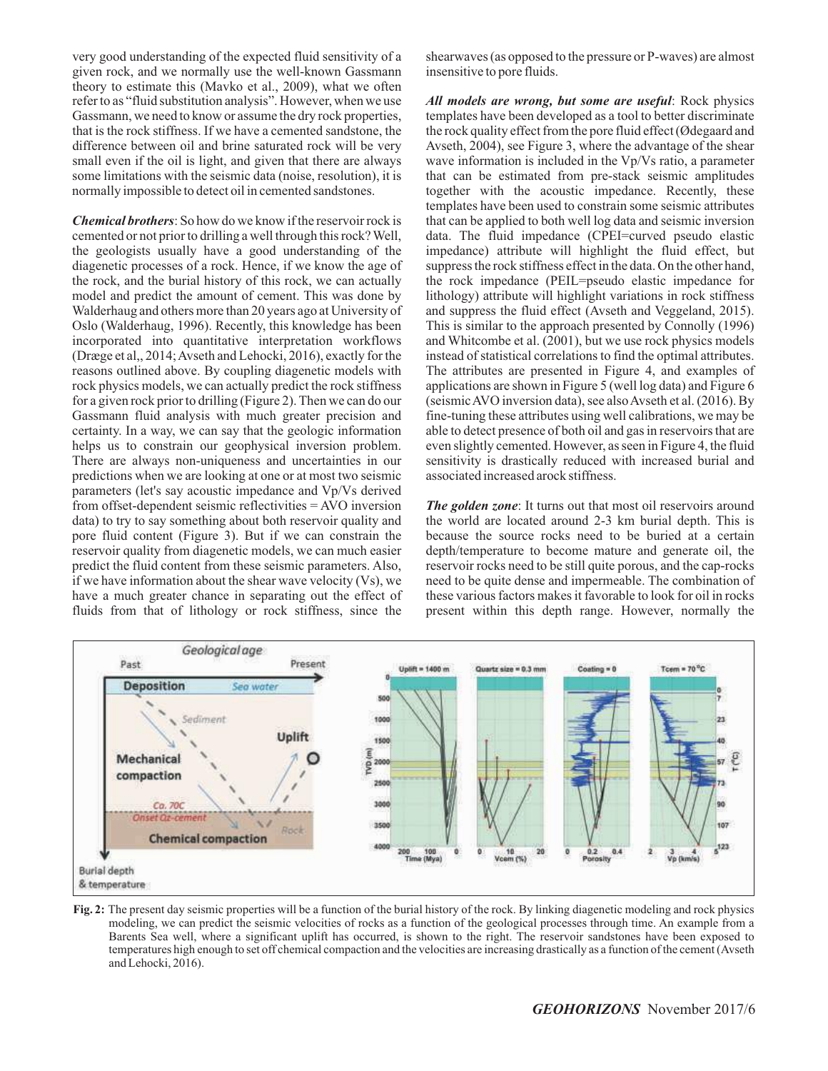very good understanding of the expected fluid sensitivity of a given rock, and we normally use the well-known Gassmann theory to estimate this (Mavko et al., 2009), what we often refer to as "fluid substitution analysis". However, when we use Gassmann, we need to know or assume the dry rock properties, that is the rock stiffness. If we have a cemented sandstone, the difference between oil and brine saturated rock will be very small even if the oil is light, and given that there are always some limitations with the seismic data (noise, resolution), it is normally impossible to detect oil in cemented sandstones.

*Chemical brothers*: So how do we know if the reservoir rock is cemented or not prior to drilling a well through this rock? Well, the geologists usually have a good understanding of the diagenetic processes of a rock. Hence, if we know the age of the rock, and the burial history of this rock, we can actually model and predict the amount of cement. This was done by Walderhaug and others more than 20 years ago at University of Oslo (Walderhaug, 1996). Recently, this knowledge has been incorporated into quantitative interpretation workflows (Dræge et al,, 2014; Avseth and Lehocki, 2016), exactly for the reasons outlined above. By coupling diagenetic models with rock physics models, we can actually predict the rock stiffness for a given rock prior to drilling (Figure 2). Then we can do our Gassmann fluid analysis with much greater precision and certainty. In a way, we can say that the geologic information helps us to constrain our geophysical inversion problem. There are always non-uniqueness and uncertainties in our predictions when we are looking at one or at most two seismic parameters (let's say acoustic impedance and Vp/Vs derived from offset-dependent seismic reflectivities = AVO inversion data) to try to say something about both reservoir quality and pore fluid content (Figure 3). But if we can constrain the reservoir quality from diagenetic models, we can much easier predict the fluid content from these seismic parameters. Also, if we have information about the shear wave velocity (Vs), we have a much greater chance in separating out the effect of fluids from that of lithology or rock stiffness, since the

shearwaves (as opposed to the pressure or P-waves) are almost insensitive to pore fluids.

*All models are wrong, but some are useful*: Rock physics templates have been developed as a tool to better discriminate the rock quality effect from the pore fluid effect (Ødegaard and Avseth, 2004), see Figure 3, where the advantage of the shear wave information is included in the Vp/Vs ratio, a parameter that can be estimated from pre-stack seismic amplitudes together with the acoustic impedance. Recently, these templates have been used to constrain some seismic attributes that can be applied to both well log data and seismic inversion data. The fluid impedance (CPEI=curved pseudo elastic impedance) attribute will highlight the fluid effect, but suppress the rock stiffness effect in the data. On the other hand, the rock impedance (PEIL=pseudo elastic impedance for lithology) attribute will highlight variations in rock stiffness and suppress the fluid effect (Avseth and Veggeland, 2015). This is similar to the approach presented by Connolly (1996) and Whitcombe et al. (2001), but we use rock physics models instead of statistical correlations to find the optimal attributes. The attributes are presented in Figure 4, and examples of applications are shown in Figure 5 (well log data) and Figure 6 (seismic AVO inversion data), see also Avseth et al. (2016). By fine-tuning these attributes using well calibrations, we may be able to detect presence of both oil and gas in reservoirs that are even slightly cemented. However, as seen in Figure 4, the fluid sensitivity is drastically reduced with increased burial and associated increased arock stiffness.

**The golden zone**: It turns out that most oil reservoirs around the world are located around 2-3 km burial depth. This is because the source rocks need to be buried at a certain depth/temperature to become mature and generate oil, the reservoir rocks need to be still quite porous, and the cap-rocks need to be quite dense and impermeable. The combination of these various factors makes it favorable to look for oil in rocks present within this depth range. However, normally the



**Fig. 2:** The present day seismic properties will be a function of the burial history of the rock. By linking diagenetic modeling and rock physics modeling, we can predict the seismic velocities of rocks as a function of the geological processes through time. An example from a Barents Sea well, where a significant uplift has occurred, is shown to the right. The reservoir sandstones have been exposed to temperatures high enough to set off chemical compaction and the velocities are increasing drastically as a function of the cement (Avseth and Lehocki, 2016).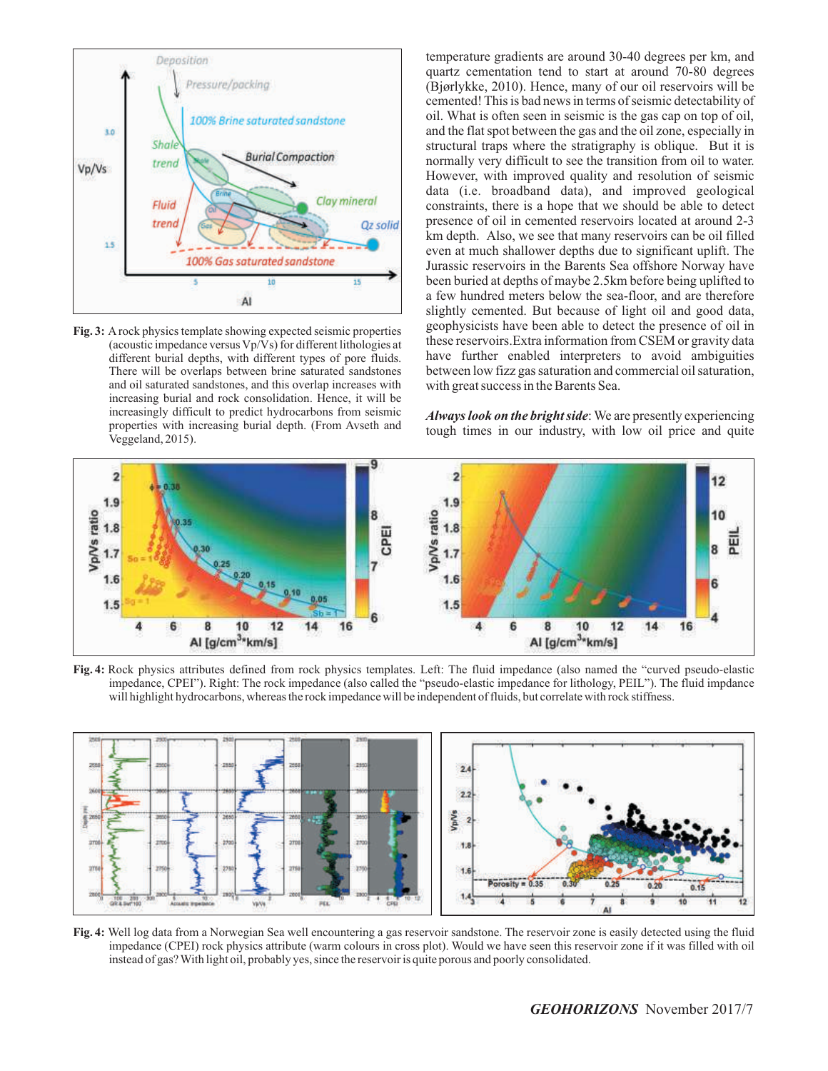

**Fig. 3:** Arock physics template showing expected seismic properties (acoustic impedance versus Vp/Vs) for different lithologies at different burial depths, with different types of pore fluids. There will be overlaps between brine saturated sandstones and oil saturated sandstones, and this overlap increases with increasing burial and rock consolidation. Hence, it will be increasingly difficult to predict hydrocarbons from seismic properties with increasing burial depth. (From Avseth and Veggeland, 2015).

temperature gradients are around 30-40 degrees per km, and quartz cementation tend to start at around 70-80 degrees (Bjørlykke, 2010). Hence, many of our oil reservoirs will be cemented! This is bad news in terms of seismic detectability of oil. What is often seen in seismic is the gas cap on top of oil, and the flat spot between the gas and the oil zone, especially in structural traps where the stratigraphy is oblique. But it is normally very difficult to see the transition from oil to water. However, with improved quality and resolution of seismic data (i.e. broadband data), and improved geological constraints, there is a hope that we should be able to detect presence of oil in cemented reservoirs located at around 2-3 km depth. Also, we see that many reservoirs can be oil filled even at much shallower depths due to significant uplift. The Jurassic reservoirs in the Barents Sea offshore Norway have been buried at depths of maybe 2.5km before being uplifted to a few hundred meters below the sea-floor, and are therefore slightly cemented. But because of light oil and good data, geophysicists have been able to detect the presence of oil in these reservoirs.Extra information from CSEM or gravity data have further enabled interpreters to avoid ambiguities between low fizz gas saturation and commercial oil saturation, with great success in the Barents Sea.

*Always look on the bright side*: We are presently experiencing tough times in our industry, with low oil price and quite



**Fig. 4:** Rock physics attributes defined from rock physics templates. Left: The fluid impedance (also named the "curved pseudo-elastic impedance, CPEI"). Right: The rock impedance (also called the "pseudo-elastic impedance for lithology, PEIL"). The fluid impdance will highlight hydrocarbons, whereas the rock impedance will be independent of fluids, but correlate with rock stiffness.



**Fig. 4:** Well log data from a Norwegian Sea well encountering a gas reservoir sandstone. The reservoir zone is easily detected using the fluid impedance (CPEI) rock physics attribute (warm colours in cross plot). Would we have seen this reservoir zone if it was filled with oil instead of gas? With light oil, probably yes, since the reservoir is quite porous and poorly consolidated.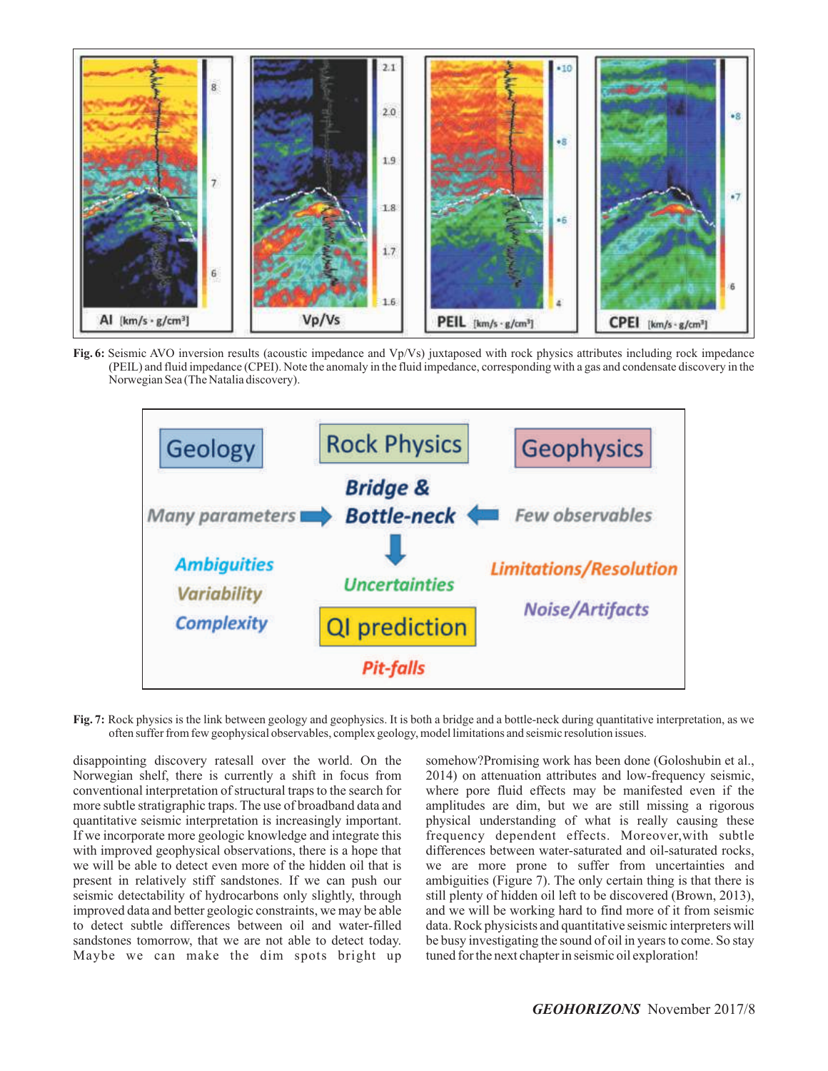

**Fig. 6:** Seismic AVO inversion results (acoustic impedance and Vp/Vs) juxtaposed with rock physics attributes including rock impedance (PEIL) and fluid impedance (CPEI). Note the anomaly in the fluid impedance, corresponding with a gas and condensate discovery in the Norwegian Sea (The Natalia discovery).



**Fig. 7:** Rock physics is the link between geology and geophysics. It is both a bridge and a bottle-neck during quantitative interpretation, as we often suffer from few geophysical observables, complex geology, model limitations and seismic resolution issues.

disappointing discovery ratesall over the world. On the Norwegian shelf, there is currently a shift in focus from conventional interpretation of structural traps to the search for more subtle stratigraphic traps. The use of broadband data and quantitative seismic interpretation is increasingly important. If we incorporate more geologic knowledge and integrate this with improved geophysical observations, there is a hope that we will be able to detect even more of the hidden oil that is present in relatively stiff sandstones. If we can push our seismic detectability of hydrocarbons only slightly, through improved data and better geologic constraints, we may be able to detect subtle differences between oil and water-filled sandstones tomorrow, that we are not able to detect today. Maybe we can make the dim spots bright up

somehow?Promising work has been done (Goloshubin et al., 2014) on attenuation attributes and low-frequency seismic, where pore fluid effects may be manifested even if the amplitudes are dim, but we are still missing a rigorous physical understanding of what is really causing these frequency dependent effects. Moreover,with subtle differences between water-saturated and oil-saturated rocks, we are more prone to suffer from uncertainties and ambiguities (Figure 7). The only certain thing is that there is still plenty of hidden oil left to be discovered (Brown, 2013), and we will be working hard to find more of it from seismic data. Rock physicists and quantitative seismic interpreters will be busy investigating the sound of oil in years to come. So stay tuned for the next chapter in seismic oil exploration!